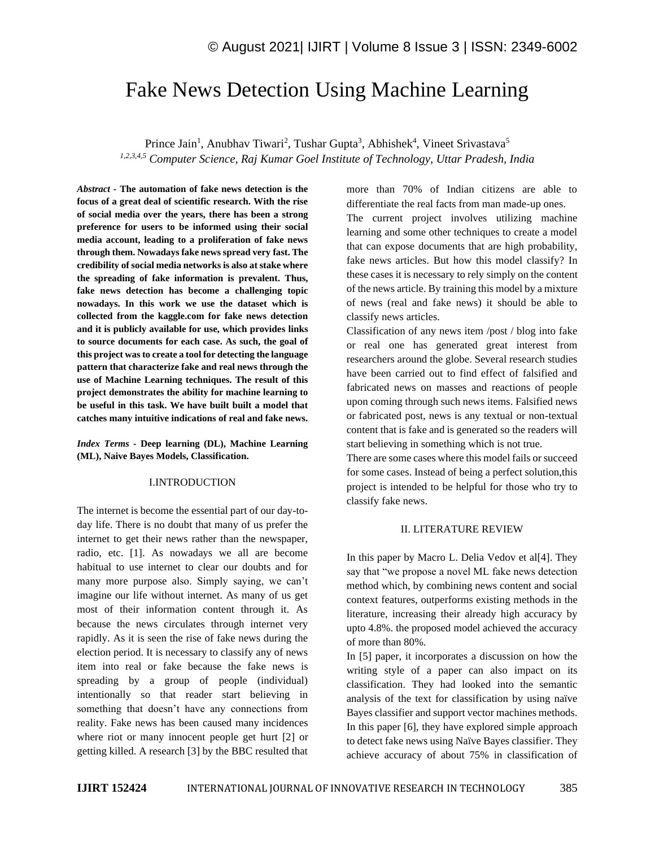# Fake News Detection Using Machine Learning

Prince Jain<sup>1</sup>, Anubhav Tiwari<sup>2</sup>, Tushar Gupta<sup>3</sup>, Abhishek<sup>4</sup>, Vineet Srivastava<sup>5</sup> *1,2,3,4,5 Computer Science, Raj Kumar Goel Institute of Technology, Uttar Pradesh, India*

*Abstract -* **The automation of fake news detection is the focus of a great deal of scientific research. With the rise of social media over the years, there has been a strong preference for users to be informed using their social media account, leading to a proliferation of fake news through them. Nowadays fake news spread very fast. The credibility of social media networks is also at stake where the spreading of fake information is prevalent. Thus, fake news detection has become a challenging topic nowadays. In this work we use the dataset which is collected from the kaggle.com for fake news detection and it is publicly available for use, which provides links to source documents for each case. As such, the goal of this project was to create a tool for detecting the language pattern that characterize fake and real news through the use of Machine Learning techniques. The result of this project demonstrates the ability for machine learning to be useful in this task. We have built built a model that catches many intuitive indications of real and fake news.**

*Index Terms -* **Deep learning (DL), Machine Learning (ML), Naive Bayes Models, Classification.**

#### I.INTRODUCTION

The internet is become the essential part of our day-today life. There is no doubt that many of us prefer the internet to get their news rather than the newspaper, radio, etc. [1]. As nowadays we all are become habitual to use internet to clear our doubts and for many more purpose also. Simply saying, we can't imagine our life without internet. As many of us get most of their information content through it. As because the news circulates through internet very rapidly. As it is seen the rise of fake news during the election period. It is necessary to classify any of news item into real or fake because the fake news is spreading by a group of people (individual) intentionally so that reader start believing in something that doesn't have any connections from reality. Fake news has been caused many incidences where riot or many innocent people get hurt [2] or getting killed. A research [3] by the BBC resulted that

more than 70% of Indian citizens are able to differentiate the real facts from man made-up ones.

The current project involves utilizing machine learning and some other techniques to create a model that can expose documents that are high probability, fake news articles. But how this model classify? In these cases it is necessary to rely simply on the content of the news article. By training this model by a mixture of news (real and fake news) it should be able to classify news articles.

Classification of any news item /post / blog into fake or real one has generated great interest from researchers around the globe. Several research studies have been carried out to find effect of falsified and fabricated news on masses and reactions of people upon coming through such news items. Falsified news or fabricated post, news is any textual or non-textual content that is fake and is generated so the readers will start believing in something which is not true.

There are some cases where this model fails or succeed for some cases. Instead of being a perfect solution,this project is intended to be helpful for those who try to classify fake news.

## II. LITERATURE REVIEW

In this paper by Macro L. Delia Vedov et al[4]. They say that "we propose a novel ML fake news detection method which, by combining news content and social context features, outperforms existing methods in the literature, increasing their already high accuracy by upto 4.8%. the proposed model achieved the accuracy of more than 80%.

In [5] paper, it incorporates a discussion on how the writing style of a paper can also impact on its classification. They had looked into the semantic analysis of the text for classification by using naïve Bayes classifier and support vector machines methods. In this paper [6], they have explored simple approach to detect fake news using Naïve Bayes classifier. They achieve accuracy of about 75% in classification of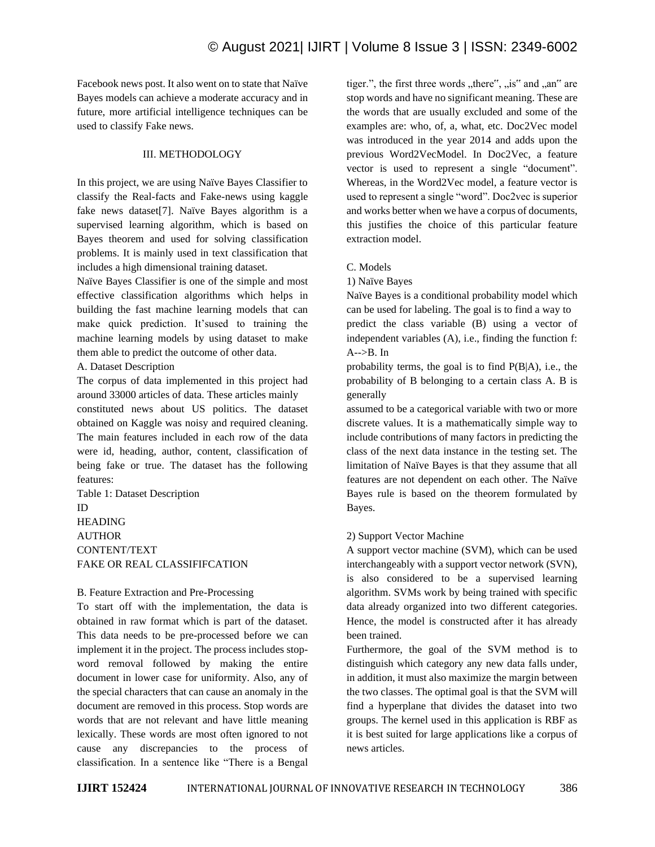Facebook news post. It also went on to state that Naïve Bayes models can achieve a moderate accuracy and in future, more artificial intelligence techniques can be used to classify Fake news.

## III. METHODOLOGY

In this project, we are using Naïve Bayes Classifier to classify the Real-facts and Fake-news using kaggle fake news dataset[7]. Naïve Bayes algorithm is a supervised learning algorithm, which is based on Bayes theorem and used for solving classification problems. It is mainly used in text classification that includes a high dimensional training dataset.

Naïve Bayes Classifier is one of the simple and most effective classification algorithms which helps in building the fast machine learning models that can make quick prediction. It'sused to training the machine learning models by using dataset to make them able to predict the outcome of other data.

A. Dataset Description

The corpus of data implemented in this project had around 33000 articles of data. These articles mainly constituted news about US politics. The dataset obtained on Kaggle was noisy and required cleaning. The main features included in each row of the data were id, heading, author, content, classification of being fake or true. The dataset has the following features:

Table 1: Dataset Description ID HEADING AUTHOR CONTENT/TEXT FAKE OR REAL CLASSIFIFCATION

## B. Feature Extraction and Pre-Processing

To start off with the implementation, the data is obtained in raw format which is part of the dataset. This data needs to be pre-processed before we can implement it in the project. The process includes stopword removal followed by making the entire document in lower case for uniformity. Also, any of the special characters that can cause an anomaly in the document are removed in this process. Stop words are words that are not relevant and have little meaning lexically. These words are most often ignored to not cause any discrepancies to the process of classification. In a sentence like "There is a Bengal tiger.", the first three words "there", "is" and "an" are stop words and have no significant meaning. These are the words that are usually excluded and some of the examples are: who, of, a, what, etc. Doc2Vec model was introduced in the year 2014 and adds upon the previous Word2VecModel. In Doc2Vec, a feature vector is used to represent a single "document". Whereas, in the Word2Vec model, a feature vector is used to represent a single "word". Doc2vec is superior and works better when we have a corpus of documents, this justifies the choice of this particular feature extraction model.

## C. Models

1) Naïve Bayes

Naïve Bayes is a conditional probability model which can be used for labeling. The goal is to find a way to predict the class variable (B) using a vector of independent variables (A), i.e., finding the function f: A-->B. In

probability terms, the goal is to find P(B|A), i.e., the probability of B belonging to a certain class A. B is generally

assumed to be a categorical variable with two or more discrete values. It is a mathematically simple way to include contributions of many factors in predicting the class of the next data instance in the testing set. The limitation of Naïve Bayes is that they assume that all features are not dependent on each other. The Naïve Bayes rule is based on the theorem formulated by Bayes.

## 2) Support Vector Machine

A support vector machine (SVM), which can be used interchangeably with a support vector network (SVN), is also considered to be a supervised learning algorithm. SVMs work by being trained with specific data already organized into two different categories. Hence, the model is constructed after it has already been trained.

Furthermore, the goal of the SVM method is to distinguish which category any new data falls under, in addition, it must also maximize the margin between the two classes. The optimal goal is that the SVM will find a hyperplane that divides the dataset into two groups. The kernel used in this application is RBF as it is best suited for large applications like a corpus of news articles.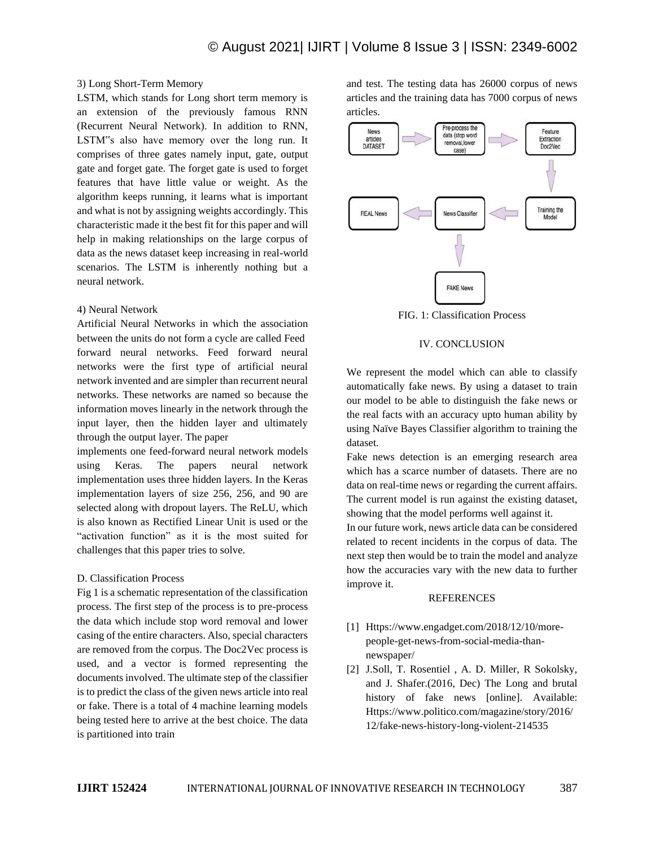## 3) Long Short-Term Memory

LSTM, which stands for Long short term memory is an extension of the previously famous RNN (Recurrent Neural Network). In addition to RNN, LSTM"s also have memory over the long run. It comprises of three gates namely input, gate, output gate and forget gate. The forget gate is used to forget features that have little value or weight. As the algorithm keeps running, it learns what is important and what is not by assigning weights accordingly. This characteristic made it the best fit for this paper and will help in making relationships on the large corpus of data as the news dataset keep increasing in real-world scenarios. The LSTM is inherently nothing but a neural network.

## 4) Neural Network

Artificial Neural Networks in which the association between the units do not form a cycle are called Feed forward neural networks. Feed forward neural networks were the first type of artificial neural network invented and are simpler than recurrent neural networks. These networks are named so because the information moves linearly in the network through the input layer, then the hidden layer and ultimately through the output layer. The paper

implements one feed-forward neural network models using Keras. The papers neural network implementation uses three hidden layers. In the Keras implementation layers of size 256, 256, and 90 are selected along with dropout layers. The ReLU, which is also known as Rectified Linear Unit is used or the "activation function" as it is the most suited for challenges that this paper tries to solve.

## D. Classification Process

Fig 1 is a schematic representation of the classification process. The first step of the process is to pre-process the data which include stop word removal and lower casing of the entire characters. Also, special characters are removed from the corpus. The Doc2Vec process is used, and a vector is formed representing the documents involved. The ultimate step of the classifier is to predict the class of the given news article into real or fake. There is a total of 4 machine learning models being tested here to arrive at the best choice. The data is partitioned into train

and test. The testing data has 26000 corpus of news articles and the training data has 7000 corpus of news articles.



FIG. 1: Classification Process

#### IV. CONCLUSION

We represent the model which can able to classify automatically fake news. By using a dataset to train our model to be able to distinguish the fake news or the real facts with an accuracy upto human ability by using Naïve Bayes Classifier algorithm to training the dataset.

Fake news detection is an emerging research area which has a scarce number of datasets. There are no data on real-time news or regarding the current affairs. The current model is run against the existing dataset, showing that the model performs well against it.

In our future work, news article data can be considered related to recent incidents in the corpus of data. The next step then would be to train the model and analyze how the accuracies vary with the new data to further improve it.

#### **REFERENCES**

- [1] Https://www.engadget.com/2018/12/10/morepeople-get-news-from-social-media-thannewspaper/
- [2] J.Soll, T. Rosentiel , A. D. Miller, R Sokolsky, and J. Shafer.(2016, Dec) The Long and brutal history of fake news [online]. Available: Https://www.politico.com/magazine/story/2016/ 12/fake-news-history-long-violent-214535